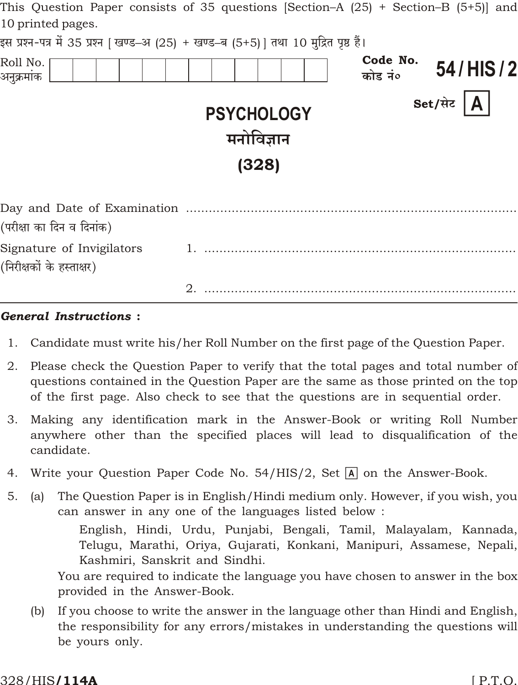| This Question Paper consists of 35 questions  Section–A (25) + Section–B (5+5)  and   |                                          |                                 |
|---------------------------------------------------------------------------------------|------------------------------------------|---------------------------------|
| 10 printed pages.                                                                     |                                          |                                 |
| इस प्रश्न-पत्र में 35 प्रश्न   खण्ड–अ (25) + खण्ड–ब (5+5)   तथा 10 मुद्रित पृष्ठ हैं। |                                          |                                 |
| Roll No.<br>अनुक्रमांक                                                                |                                          | Code No.<br>54/HIS/2<br>कोड नं० |
|                                                                                       | <b>PSYCHOLOGY</b><br>मनोविज्ञान<br>(328) | Set/सेट  <br>A.                 |
|                                                                                       |                                          |                                 |
| (परीक्षा का दिन व दिनांक)                                                             |                                          |                                 |
| Signature of Invigilators<br>(निरीक्षकों के हस्ताक्षर)                                |                                          |                                 |
|                                                                                       |                                          |                                 |

#### **General Instructions:**

- $1.$ Candidate must write his/her Roll Number on the first page of the Question Paper.
- 2. Please check the Question Paper to verify that the total pages and total number of questions contained in the Question Paper are the same as those printed on the top of the first page. Also check to see that the questions are in sequential order.
- Making any identification mark in the Answer-Book or writing Roll Number 3. anywhere other than the specified places will lead to disqualification of the candidate.
- Write your Question Paper Code No. 54/HIS/2, Set  $\overline{A}$  on the Answer-Book. 4.
- $5<sub>1</sub>$ The Question Paper is in English/Hindi medium only. However, if you wish, you  $(a)$ can answer in any one of the languages listed below:

English, Hindi, Urdu, Punjabi, Bengali, Tamil, Malayalam, Kannada, Telugu, Marathi, Oriya, Gujarati, Konkani, Manipuri, Assamese, Nepali, Kashmiri, Sanskrit and Sindhi.

You are required to indicate the language you have chosen to answer in the box provided in the Answer-Book.

If you choose to write the answer in the language other than Hindi and English,  $(b)$ the responsibility for any errors/mistakes in understanding the questions will be yours only.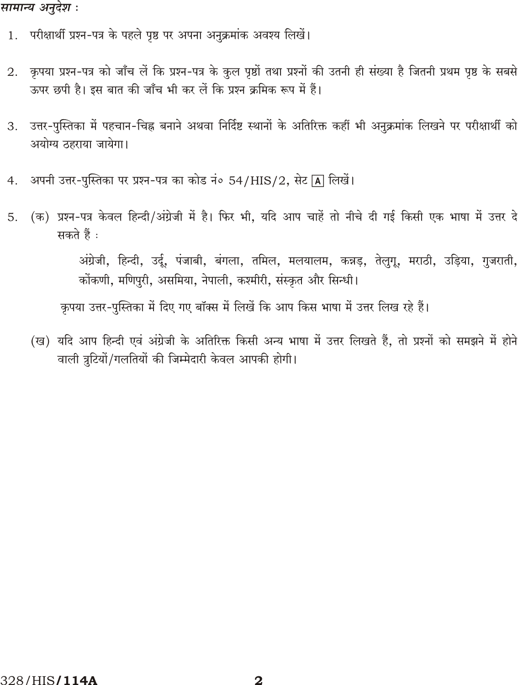### सामान्य अनुदेश :

- 1. परीक्षार्थी प्रश्न-पत्र के पहले पृष्ठ पर अपना अनुक्रमांक अवश्य लिखें।
- कृपया प्रश्न-पत्र को जाँच लें कि प्रश्न-पत्र के कुल पृष्ठों तथा प्रश्नों की उतनी ही संख्या है जितनी प्रथम पृष्ठ के सबसे 2. ऊपर छपी है। इस बात की जाँच भी कर लें कि प्रश्न क्रमिक रूप में हैं।
- उत्तर-पुस्तिका में पहचान-चिह्न बनाने अथवा निर्दिष्ट स्थानों के अतिरिक्त कहीं भी अनुक्रमांक लिखने पर परीक्षार्थी को 3. अयोग्य ठहराया जायेगा।
- अपनी उत्तर-पुस्तिका पर प्रश्न-पत्र का कोड नं० 54/HIS/2, सेट [A] लिखें।  $4.$
- (क) प्रश्न-पत्र केवल हिन्दी/अंग्रेजी में है। फिर भी, यदि आप चाहें तो नीचे दी गई किसी एक भाषा में उत्तर दे 5. सकते हैं :

अंग्रेजी, हिन्दी, उर्दू, पंजाबी, बंगला, तमिल, मलयालम, कन्नड़, तेलुगू, मराठी, उड़िया, गुजराती, कोंकणी, मणिपुरी, असमिया, नेपाली, कश्मीरी, संस्कृत और सिन्धी।

कृपया उत्तर-पुस्तिका में दिए गए बॉक्स में लिखें कि आप किस भाषा में उत्तर लिख रहे हैं।

(ख) यदि आप हिन्दी एवं अंग्रेजी के अतिरिक्त किसी अन्य भाषा में उत्तर लिखते हैं, तो प्रश्नों को समझने में होने वाली त्रुटियों/गलतियों की जिम्मेदारी केवल आपकी होगी।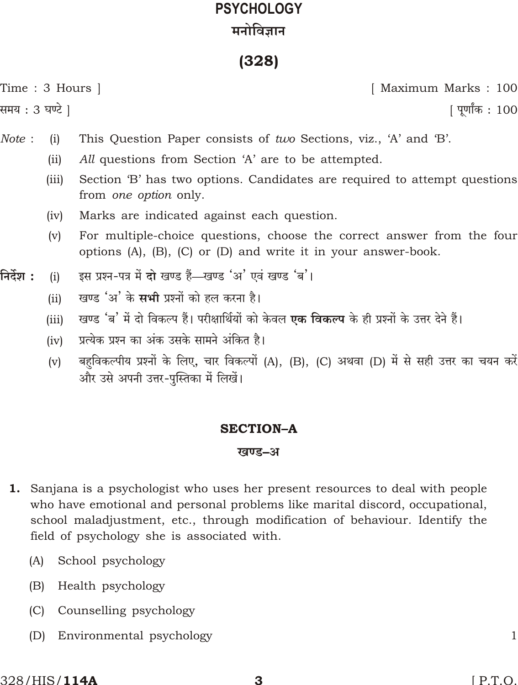# **PSYCHOLOGY** मनोविज्ञान

## $(328)$

Time: 3 Hours ]

[ Maximum Marks: 100

समय : 3 घण्टे ]

[ पूर्णांक : 100

- Note: This Question Paper consists of two Sections, viz., 'A' and 'B'.  $(i)$ 
	- All questions from Section 'A' are to be attempted.  $(ii)$
	- $(iii)$ Section 'B' has two options. Candidates are required to attempt questions from *one option* only.
	- $(iv)$ Marks are indicated against each question.
	- For multiple-choice questions, choose the correct answer from the four  $(v)$ options  $(A)$ ,  $(B)$ ,  $(C)$  or  $(D)$  and write it in your answer-book.
- निर्देश : इस प्रश्न-पत्र में दो खण्ड हैं-खण्ड 'अ' एवं खण्ड 'ब'।  $(i)$ 
	- खण्ड 'अ' के सभी प्रश्नों को हल करना है।  $(ii)$
	- खण्ड 'ब' में दो विकल्प हैं। परीक्षार्थियों को केवल **एक विकल्प** के ही प्रश्नों के उत्तर देने हैं।  $(iii)$
	- प्रत्येक प्रश्न का अंक उसके सामने अंकित है।  $(iv)$
	- बहविकल्पीय प्रश्नों के लिए, चार विकल्पों (A), (B), (C) अथवा (D) में से सही उत्तर का चयन करें  $(v)$ और उसे अपनी उत्तर-पुस्तिका में लिखें।

## **SECTION-A**

#### खण्ड–अ

- 1. Sanjana is a psychologist who uses her present resources to deal with people who have emotional and personal problems like marital discord, occupational, school maladjustment, etc., through modification of behaviour. Identify the field of psychology she is associated with.
	- $(A)$ School psychology
	- $(B)$ Health psychology
	- $(C)$ Counselling psychology
	- $(D)$ Environmental psychology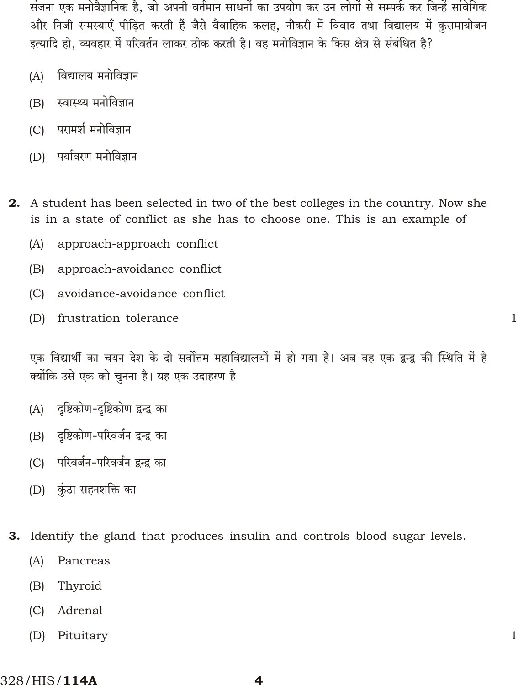संजना एक मनोवैज्ञानिक है, जो अपनी वर्तमान साधनों का उपयोग कर उन लोगों से सम्पर्क कर जिन्हें सांवेगिक और निजी समस्याएँ पीड़ित करती हैं जैसे वैवाहिक कलह, नौकरी में विवाद तथा विद्यालय में कुसमायोजन इत्यादि हो, व्यवहार में परिवर्तन लाकर ठीक करती है। वह मनोविज्ञान के किस क्षेत्र से संबंधित है?

- विद्यालय मनोविज्ञान  $(A)$
- स्वास्थ्य मनोविज्ञान  $(B)$
- (C) परामर्श मनोविज्ञान
- (D) पर्यावरण मनोविज्ञान
- 2. A student has been selected in two of the best colleges in the country. Now she is in a state of conflict as she has to choose one. This is an example of
	- approach-approach conflict  $(A)$
	- $(B)$ approach-avoidance conflict
	- avoidance-avoidance conflict  $(C)$
	- frustration tolerance  $(D)$

एक विद्यार्थी का चयन देश के दो सर्वोत्तम महाविद्यालयों में हो गया है। अब वह एक द्वन्द्व की स्थिति में है क्योंकि उसे एक को चुनना है। यह एक उदाहरण है

 $\mathbf{1}$ 

- दृष्टिकोण-दृष्टिकोण द्वन्द्व का  $(A)$
- दृष्टिकोण-परिवर्जन द्वन्द्व का  $(B)$
- (C) परिवर्जन-परिवर्जन द्रन्द्र का
- (D) कंठा सहनशक्ति का
- Identify the gland that produces insulin and controls blood sugar levels. З.
	- $(A)$ Pancreas
	- $(B)$ Thyroid
	- $(C)$ Adrenal
	- $(D)$ Pituitary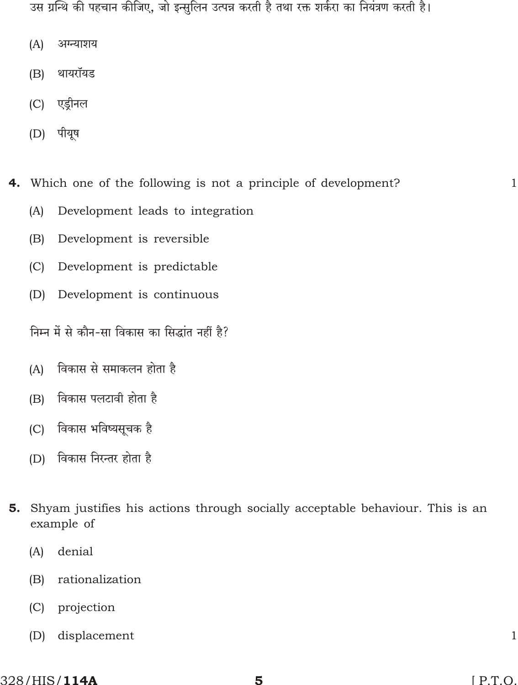उस ग्रन्थि की पहचान कीजिए, जो इन्सुलिन उत्पन्न करती है तथा रक्त शर्करा का नियंत्रण करती है।

- $(A)$ अग्न्याशय
- थायरॉयड  $(B)$
- एड्रीनल  $(C)$
- पीयुष  $(D)$
- 4. Which one of the following is not a principle of development?
	- Development leads to integration  $(A)$
	- Development is reversible  $(B)$
	- Development is predictable  $(C)$
	- $(D)$ Development is continuous

निम्न में से कौन-सा विकास का सिद्धांत नहीं है?

- विकास से समाकलन होता है  $(A)$
- विकास पलटावी होता है  $(B)$
- (C) विकास भविष्यसूचक है
- (D) विकास निरन्तर होता है
- 5. Shyam justifies his actions through socially acceptable behaviour. This is an example of
	- denial  $(A)$
	- rationalization  $(B)$
	- projection  $(C)$
	- displacement  $(D)$

 $\mathbf{1}$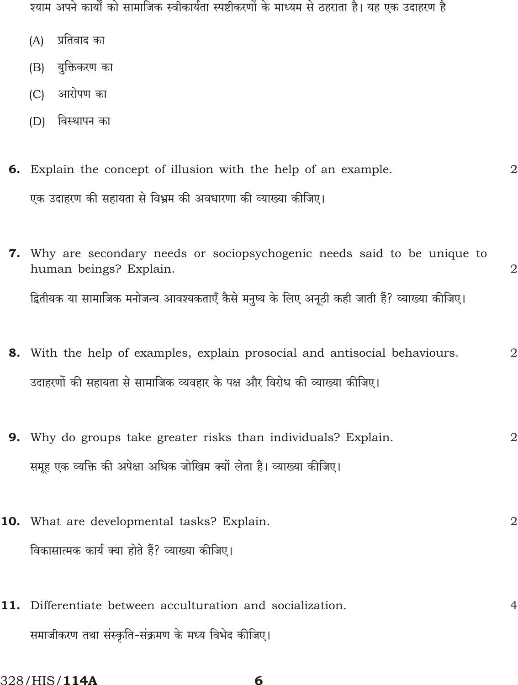श्याम अपने कार्यों को सामाजिक स्वीकार्यता स्पष्टीकरणों के माध्यम से ठहराता है। यह एक उदाहरण है

- प्रतिवाद का  $(A)$
- युक्तिकरण का  $(B)$
- आरोपण का  $(C)$
- (D) विस्थापन का
- 6. Explain the concept of illusion with the help of an example.  $\overline{2}$ एक उदाहरण की सहायता से विभ्रम की अवधारणा की व्याख्या कीजिए।
- 7. Why are secondary needs or sociopsychogenic needs said to be unique to human beings? Explain. द्वितीयक या सामाजिक मनोजन्य आवश्यकताएँ कैसे मनुष्य के लिए अनूठी कही जाती हैं? व्याख्या कीजिए।

 $\overline{2}$ 

 $\overline{2}$ 

- 8. With the help of examples, explain prosocial and antisocial behaviours. उदाहरणों की सहायता से सामाजिक व्यवहार के पक्ष और विरोध की व्याख्या कीजिए।
- 9. Why do groups take greater risks than individuals? Explain.  $\overline{2}$ समह एक व्यक्ति की अपेक्षा अधिक जोखिम क्यों लेता है। व्याख्या कीजिए।
- 10. What are developmental tasks? Explain.  $\overline{2}$ विकासात्मक कार्य क्या होते हैं? व्याख्या कीजिए।
- 11. Differentiate between acculturation and socialization.  $\overline{4}$ समाजीकरण तथा संस्कृति-संक्रमण के मध्य विभेद कीजिए।

328/HIS/**114A** 

6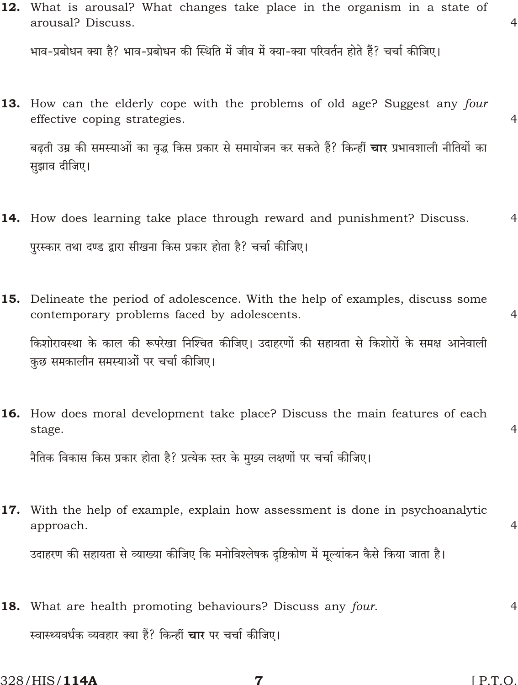|     | 12. What is arousal? What changes take place in the organism in a state of<br>arousal? Discuss.                                        | $\overline{4}$ |
|-----|----------------------------------------------------------------------------------------------------------------------------------------|----------------|
|     | भाव-प्रबोधन क्या है? भाव-प्रबोधन की स्थिति में जीव में क्या-क्या परिवर्तन होते हैं? चर्चा कीजिए।                                       |                |
|     | <b>13.</b> How can the elderly cope with the problems of old age? Suggest any four<br>effective coping strategies.                     | $\overline{4}$ |
|     | बढ़ती उम्र की समस्याओं का वृद्ध किस प्रकार से समायोजन कर सकते हैं? किन्हीं <b>चार</b> प्रभावशाली नीतियों का<br>सुझाव दीजिए।            |                |
|     | 14. How does learning take place through reward and punishment? Discuss.                                                               | 4              |
|     | पुरस्कार तथा दण्ड द्वारा सीखना किस प्रकार होता है? चर्चा कीजिए।                                                                        |                |
|     | <b>15.</b> Delineate the period of adolescence. With the help of examples, discuss some<br>contemporary problems faced by adolescents. | $\overline{4}$ |
|     | किशोरावस्था के काल की रूपरेखा निश्चित कीजिए। उदाहरणों की सहायता से किशोरों के समक्ष आनेवाली<br>कुछ समकालीन समस्याओं पर चर्चा कीजिए।    |                |
|     | <b>16.</b> How does moral development take place? Discuss the main features of each<br>stage.                                          | $\overline{4}$ |
|     | नैतिक विकास किस प्रकार होता है? प्रत्येक स्तर के मुख्य लक्षणों पर चर्चा कीजिए।                                                         |                |
| 17. | With the help of example, explain how assessment is done in psychoanalytic<br>approach.                                                | $\overline{4}$ |
|     | उदाहरण की सहायता से व्याख्या कीजिए कि मनोविश्लेषक दृष्टिकोण में मूल्यांकन कैसे किया जाता है।                                           |                |
|     | 18. What are health promoting behaviours? Discuss any four.                                                                            | 4              |
|     | स्वास्थ्यवर्धक व्यवहार क्या हैं? किन्हीं <b>चार</b> पर चर्चा कीजिए।                                                                    |                |

 $\overline{7}$ 

328/HIS/114A

 $[$  P.T.O.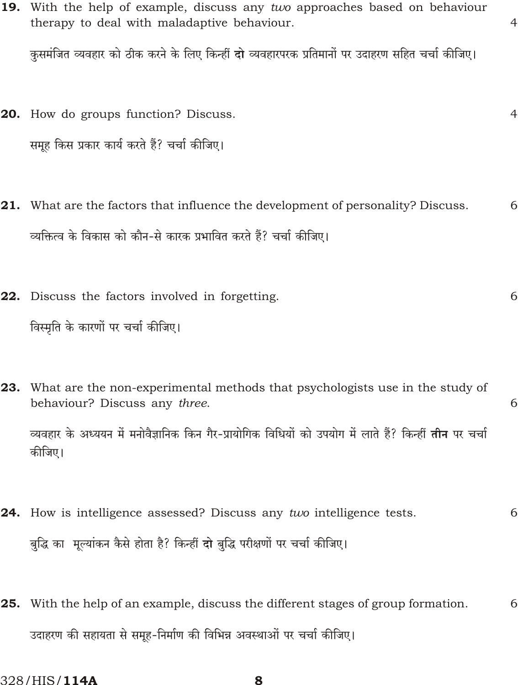19. With the help of example, discuss any two approaches based on behaviour therapy to deal with maladaptive behaviour.

 $\overline{4}$ 

कुसमंजित व्यवहार को ठीक करने के लिए किन्हीं दो व्यवहारपरक प्रतिमानों पर उदाहरण सहित चर्चा कीजिए।

- 20. How do groups function? Discuss.  $\overline{4}$ समूह किस प्रकार कार्य करते हैं? चर्चा कीजिए।
- 21. What are the factors that influence the development of personality? Discuss. 6 व्यक्तित्व के विकास को कौन-से कारक प्रभावित करते हैं? चर्चा कीजिए।
- 22. Discuss the factors involved in forgetting. 6 विस्मृति के कारणों पर चर्चा कीजिए।
- **23.** What are the non-experimental methods that psychologists use in the study of behaviour? Discuss any three. 6 व्यवहार के अध्ययन में मनोवैज्ञानिक किन गैर-प्रायोगिक विधियों को उपयोग में लाते हैं? किन्हीं **तीन** पर चर्चा कीजिए।
- **24.** How is intelligence assessed? Discuss any two intelligence tests. 6 बद्धि का मल्यांकन कैसे होता है? किन्हीं **दो** बुद्धि परीक्षणों पर चर्चा कीजिए।
- 25. With the help of an example, discuss the different stages of group formation. 6 उदाहरण की सहायता से समह-निर्माण की विभिन्न अवस्थाओं पर चर्चा कीजिए।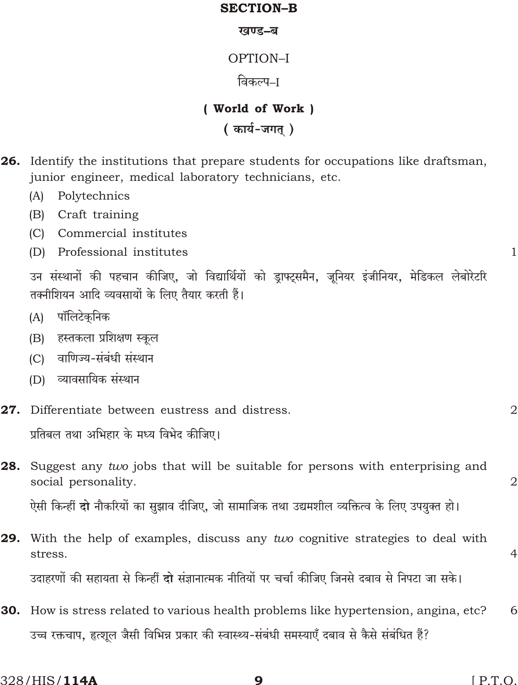#### **SECTION-B**

#### खण्ड-ब

# OPTION-I

### विकल्प–ा

# ( World of Work )

## ( कार्य-जगत्)

- **26.** Identify the institutions that prepare students for occupations like draftsman, junior engineer, medical laboratory technicians, etc.
	- $(A)$ Polytechnics
	- (B) Craft training
	- Commercial institutes  $(C)$
	- (D) Professional institutes

उन संस्थानों की पहचान कीजिए, जो विद्यार्थियों को ड्राफ्ट्समैन, जूनियर इंजीनियर, मेडिकल लेबोरेटरि तक्नीशियन आदि व्यवसायों के लिए तैयार करती हैं।

- पॉलिटेकनिक  $(A)$
- (B) हस्तकला प्रशिक्षण स्कूल
- वाणिज्य-संबंधी संस्थान  $(C)$
- व्यावसायिक संस्थान  $(D)$
- Differentiate between eustress and distress. 27.

प्रतिबल तथा अभिहार के मध्य विभेद कीजिए।

- **28.** Suggest any two jobs that will be suitable for persons with enterprising and social personality. ऐसी किन्हीं **दो** नौकरियों का सुझाव दीजिए, जो सामाजिक तथा उद्यमशील व्यक्तित्व के लिए उपयुक्त हो।
- **29.** With the help of examples, discuss any two cognitive strategies to deal with stress. उदाहरणों की सहायता से किन्हीं **दो** संज्ञानात्मक नीतियों पर चर्चा कीजिए जिनसे दबाव से निपटा जा सके।
- **30.** How is stress related to various health problems like hypertension, angina, etc? 6 उच्च रक्तचाप. हत्शल जैसी विभिन्न प्रकार की स्वास्थ्य-संबंधी समस्याएँ दबाव से कैसे संबंधित हैं?

9

 $\overline{2}$ 

 $\overline{4}$ 

 $\overline{2}$